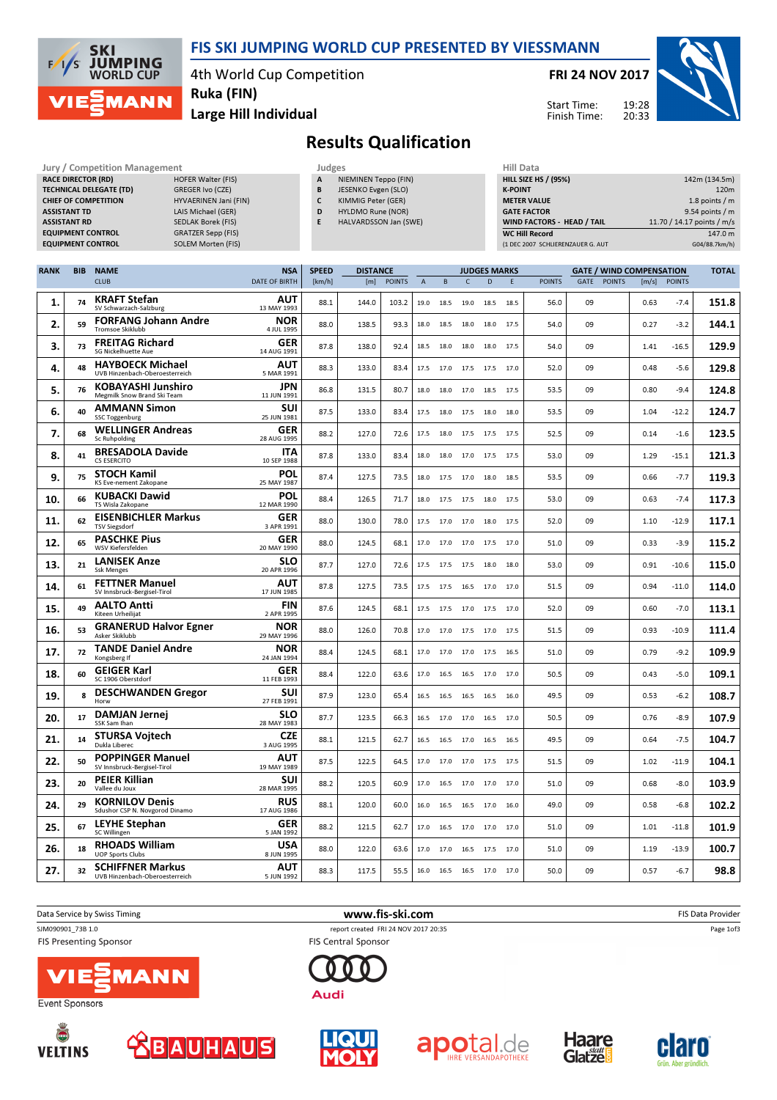

## FIS SKI JUMPING WORLD CUP PRESENTED BY VIESSMANN

4th World Cup Competition Ruka (FIN)

Large Hill Individual

FRI 24 NOV 2017

Start Time: Finish Time:



## Results Qualification

| Jury / Competition Management<br><b>RACE DIRECTOR (RD)</b><br><b>HOFER Walter (FIS)</b><br><b>TECHNICAL DELEGATE (TD)</b><br>GREGER Ivo (CZE)<br><b>CHIEF OF COMPETITION</b><br>HYVAERINEN Jani (FIN)<br><b>ASSISTANT TD</b><br>LAIS Michael (GER)<br><b>ASSISTANT RD</b><br>SEDLAK Borek (FIS)<br><b>EQUIPMENT CONTROL</b><br><b>GRATZER Sepp (FIS)</b><br><b>EQUIPMENT CONTROL</b><br><b>SOLEM Morten (FIS)</b> |            |                                                           |                           |              | Judges<br>A<br>NIEMINEN Teppo (FIN)<br>B<br>JESENKO Evgen (SLO)<br>$\mathsf{C}$<br>KIMMIG Peter (GER)<br>D<br>HYLDMO Rune (NOR)<br>E<br>HALVARDSSON Jan (SWE) |               |                |           |                |                     | <b>Hill Data</b><br><b>HILL SIZE HS / (95%)</b><br><b>K-POINT</b><br><b>METER VALUE</b><br><b>GATE FACTOR</b><br>WIND FACTORS - HEAD / TAIL<br><b>WC Hill Record</b><br>(1 DEC 2007 SCHLIERENZAUER G. AUT |               |                                 |               |       | 142m (134.5m)<br>120m<br>1.8 points / m<br>9.54 points $/m$<br>11.70 / 14.17 points / m/s<br>147.0 m<br>G04/88.7km/h) |              |  |
|-------------------------------------------------------------------------------------------------------------------------------------------------------------------------------------------------------------------------------------------------------------------------------------------------------------------------------------------------------------------------------------------------------------------|------------|-----------------------------------------------------------|---------------------------|--------------|---------------------------------------------------------------------------------------------------------------------------------------------------------------|---------------|----------------|-----------|----------------|---------------------|-----------------------------------------------------------------------------------------------------------------------------------------------------------------------------------------------------------|---------------|---------------------------------|---------------|-------|-----------------------------------------------------------------------------------------------------------------------|--------------|--|
| <b>RANK</b>                                                                                                                                                                                                                                                                                                                                                                                                       | <b>BIB</b> | <b>NAME</b>                                               | <b>NSA</b>                | <b>SPEED</b> | <b>DISTANCE</b>                                                                                                                                               |               |                |           |                | <b>JUDGES MARKS</b> |                                                                                                                                                                                                           |               | <b>GATE / WIND COMPENSATION</b> |               |       |                                                                                                                       | <b>TOTAL</b> |  |
|                                                                                                                                                                                                                                                                                                                                                                                                                   |            | <b>CLUB</b>                                               | <b>DATE OF BIRTH</b>      | [km/h]       | [m]                                                                                                                                                           | <b>POINTS</b> | $\overline{A}$ | B         | $\mathsf{C}$   | D                   | E                                                                                                                                                                                                         | <b>POINTS</b> | GATE                            | <b>POINTS</b> | [m/s] | <b>POINTS</b>                                                                                                         |              |  |
| 1.                                                                                                                                                                                                                                                                                                                                                                                                                | 74         | <b>KRAFT Stefan</b><br>SV Schwarzach-Salzburg             | AUT<br>13 MAY 1993        | 88.1         | 144.0                                                                                                                                                         | 103.2         | 19.0           | 18.5      | 19.0           | 18.5                | 18.5                                                                                                                                                                                                      | 56.0          | 09                              |               | 0.63  | $-7.4$                                                                                                                | 151.8        |  |
| 2.                                                                                                                                                                                                                                                                                                                                                                                                                | 59         | <b>FORFANG Johann Andre</b><br>Tromsoe Skiklubb           | <b>NOR</b><br>4 JUL 1995  | 88.0         | 138.5                                                                                                                                                         | 93.3          | 18.0           | 18.5      | 18.0           | 18.0                | 17.5                                                                                                                                                                                                      | 54.0          | 09                              |               | 0.27  | $-3.2$                                                                                                                | 144.1        |  |
| 3.                                                                                                                                                                                                                                                                                                                                                                                                                | 73         | <b>FREITAG Richard</b><br>SG Nickelhuette Aue             | <b>GER</b><br>14 AUG 1991 | 87.8         | 138.0                                                                                                                                                         | 92.4          | 18.5           | 18.0      | 18.0           | 18.0                | 17.5                                                                                                                                                                                                      | 54.0          | 09                              |               | 1.41  | $-16.5$                                                                                                               | 129.9        |  |
| 4.                                                                                                                                                                                                                                                                                                                                                                                                                | 48         | <b>HAYBOECK Michael</b><br>UVB Hinzenbach-Oberoesterreich | AUT<br>5 MAR 1991         | 88.3         | 133.0                                                                                                                                                         | 83.4          | 17.5           | 17.0      | 17.5           | 17.5                | 17.0                                                                                                                                                                                                      | 52.0          | 09                              |               | 0.48  | $-5.6$                                                                                                                | 129.8        |  |
| 5.                                                                                                                                                                                                                                                                                                                                                                                                                | 76         | <b>KOBAYASHI Junshiro</b><br>Megmilk Snow Brand Ski Team  | <b>JPN</b><br>11 JUN 1991 | 86.8         | 131.5                                                                                                                                                         | 80.7          | 18.0           | 18.0      | 17.0 18.5      |                     | 17.5                                                                                                                                                                                                      | 53.5          | 09                              |               | 0.80  | $-9.4$                                                                                                                | 124.8        |  |
| 6.                                                                                                                                                                                                                                                                                                                                                                                                                | 40         | <b>AMMANN Simon</b><br><b>SSC Toggenburg</b>              | SUI<br>25 JUN 1981        | 87.5         | 133.0                                                                                                                                                         | 83.4          | 17.5           | 18.0      | 17.5           | 18.0                | 18.0                                                                                                                                                                                                      | 53.5          | 09                              |               | 1.04  | $-12.2$                                                                                                               | 124.7        |  |
| 7.                                                                                                                                                                                                                                                                                                                                                                                                                | 68         | <b>WELLINGER Andreas</b><br><b>Sc Ruhpolding</b>          | GER<br>28 AUG 1995        | 88.2         | 127.0                                                                                                                                                         | 72.6          | 17.5           | 18.0      | 17.5           | 17.5                | 17.5                                                                                                                                                                                                      | 52.5          | 09                              |               | 0.14  | $-1.6$                                                                                                                | 123.5        |  |
| 8.                                                                                                                                                                                                                                                                                                                                                                                                                | 41         | <b>BRESADOLA Davide</b><br><b>CS ESERCITO</b>             | <b>ITA</b><br>10 SEP 1988 | 87.8         | 133.0                                                                                                                                                         | 83.4          | 18.0           | 18.0      | 17.0           | 17.5                | 17.5                                                                                                                                                                                                      | 53.0          | 09                              |               | 1.29  | $-15.1$                                                                                                               | 121.3        |  |
| 9.                                                                                                                                                                                                                                                                                                                                                                                                                | 75         | <b>STOCH Kamil</b><br>KS Eve-nement Zakopane              | POL<br>25 MAY 1987        | 87.4         | 127.5                                                                                                                                                         | 73.5          | 18.0           | 17.5      | 17.0           | 18.0                | 18.5                                                                                                                                                                                                      | 53.5          | 09                              |               | 0.66  | $-7.7$                                                                                                                | 119.3        |  |
| 10.                                                                                                                                                                                                                                                                                                                                                                                                               | 66         | <b>KUBACKI Dawid</b><br>TS Wisla Zakopane                 | <b>POL</b><br>12 MAR 1990 | 88.4         | 126.5                                                                                                                                                         | 71.7          | 18.0           | 17.5 17.5 |                | 18.0                | 17.5                                                                                                                                                                                                      | 53.0          | 09                              |               | 0.63  | $-7.4$                                                                                                                | 117.3        |  |
| 11.                                                                                                                                                                                                                                                                                                                                                                                                               | 62         | <b>EISENBICHLER Markus</b><br><b>TSV Siegsdorf</b>        | GER<br>3 APR 1991         | 88.0         | 130.0                                                                                                                                                         | 78.0          | 17.5           | 17.0      | 17.0           | 18.0                | 17.5                                                                                                                                                                                                      | 52.0          | 09                              |               | 1.10  | -12.9                                                                                                                 | 117.1        |  |
| 12.                                                                                                                                                                                                                                                                                                                                                                                                               | 65         | <b>PASCHKE Pius</b><br>WSV Kiefersfelden                  | GER<br>20 MAY 1990        | 88.0         | 124.5                                                                                                                                                         | 68.1          | 17.0           | 17.0      | 17.0           | 17.5                | 17.0                                                                                                                                                                                                      | 51.0          | 09                              |               | 0.33  | $-3.9$                                                                                                                | 115.2        |  |
| 13.                                                                                                                                                                                                                                                                                                                                                                                                               | 21         | <b>LANISEK Anze</b><br><b>Ssk Menges</b>                  | <b>SLO</b><br>20 APR 1996 | 87.7         | 127.0                                                                                                                                                         | 72.6          | 17.5           | 17.5      | 17.5           | 18.0                | 18.0                                                                                                                                                                                                      | 53.0          | 09                              |               | 0.91  | $-10.6$                                                                                                               | 115.0        |  |
| 14.                                                                                                                                                                                                                                                                                                                                                                                                               | 61         | <b>FETTNER Manuel</b><br>SV Innsbruck-Bergisel-Tirol      | <b>AUT</b><br>17 JUN 1985 | 87.8         | 127.5                                                                                                                                                         | 73.5          | 17.5           | 17.5      | 16.5           | 17.0                | 17.0                                                                                                                                                                                                      | 51.5          | 09                              |               | 0.94  | $-11.0$                                                                                                               | 114.0        |  |
| 15.                                                                                                                                                                                                                                                                                                                                                                                                               | 49         | <b>AALTO Antti</b><br>Kiteen Urheilijat                   | <b>FIN</b><br>2 APR 1995  | 87.6         | 124.5                                                                                                                                                         | 68.1          | 17.5           |           | 17.5 17.0 17.5 |                     | 17.0                                                                                                                                                                                                      | 52.0          | 09                              |               | 0.60  | $-7.0$                                                                                                                | 113.1        |  |
| 16.                                                                                                                                                                                                                                                                                                                                                                                                               | 53         | <b>GRANERUD Halvor Egner</b><br>Asker Skiklubb            | <b>NOR</b><br>29 MAY 1996 | 88.0         | 126.0                                                                                                                                                         | 70.8          | 17.0           | 17.0      | 17.5           | 17.0                | 17.5                                                                                                                                                                                                      | 51.5          | 09                              |               | 0.93  | $-10.9$                                                                                                               | 111.4        |  |
| 17.                                                                                                                                                                                                                                                                                                                                                                                                               | 72         | <b>TANDE Daniel Andre</b><br>Kongsberg If                 | <b>NOR</b><br>24 JAN 1994 | 88.4         | 124.5                                                                                                                                                         | 68.1          | 17.0           | 17.0      | 17.0 17.5      |                     | 16.5                                                                                                                                                                                                      | 51.0          | 09                              |               | 0.79  | $-9.2$                                                                                                                | 109.9        |  |
| 18.                                                                                                                                                                                                                                                                                                                                                                                                               | 60         | <b>GEIGER Karl</b><br>SC 1906 Oberstdorf                  | GER<br>11 FEB 1993        | 88.4         | 122.0                                                                                                                                                         | 63.6          | 17.0           | 16.5      | 16.5           | 17.0                | 17.0                                                                                                                                                                                                      | 50.5          | 09                              |               | 0.43  | $-5.0$                                                                                                                | 109.1        |  |
| 19.                                                                                                                                                                                                                                                                                                                                                                                                               | 8          | <b>DESCHWANDEN Gregor</b><br>Horw                         | SUI<br>27 FEB 1991        | 87.9         | 123.0                                                                                                                                                         | 65.4          | 16.5           | 16.5      | 16.5           | 16.5                | 16.0                                                                                                                                                                                                      | 49.5          | 09                              |               | 0.53  | $-6.2$                                                                                                                | 108.7        |  |
| 20.                                                                                                                                                                                                                                                                                                                                                                                                               | 17         | <b>DAMJAN Jernej</b><br>SSK Sam Ihan                      | <b>SLO</b><br>28 MAY 1983 | 87.7         | 123.5                                                                                                                                                         | 66.3          | 16.5           | 17.0      | 17.0           | 16.5                | 17.0                                                                                                                                                                                                      | 50.5          | 09                              |               | 0.76  | $-8.9$                                                                                                                | 107.9        |  |
| 21.                                                                                                                                                                                                                                                                                                                                                                                                               | 14         | STURSA Vojtech<br>Dukla Liberec                           | CZE<br>3 AUG 1995         | 88.1         | 121.5                                                                                                                                                         | 62.7          | 16.5           | 16.5      | 17.0           | 16.5                | 16.5                                                                                                                                                                                                      | 495           | 09                              |               | 0.64  | $-7.5$                                                                                                                | 104.7        |  |
| 22.                                                                                                                                                                                                                                                                                                                                                                                                               | 50         | <b>POPPINGER Manuel</b><br>SV Innsbruck-Bergisel-Tirol    | AUT<br>19 MAY 1989        | 87.5         | 122.5                                                                                                                                                         | 64.5          | 17.0           |           | 17.0 17.0 17.5 |                     | 17.5                                                                                                                                                                                                      | 51.5          | 09                              |               | 1.02  | $-11.9$                                                                                                               | 104.1        |  |
| 23.                                                                                                                                                                                                                                                                                                                                                                                                               | 20         | <b>PEIER Killian</b><br>Vallee du Joux                    | SUI<br>28 MAR 1995        | 88.2         | 120.5                                                                                                                                                         | 60.9          | 17.0           | 16.5      | 17.0           | 17.0                | 17.0                                                                                                                                                                                                      | 51.0          | 09                              |               | 0.68  | $-8.0$                                                                                                                | 103.9        |  |
| 24                                                                                                                                                                                                                                                                                                                                                                                                                | 29         | <b>KORNILOV Denis</b><br>Sdushor CSP N. Novgorod Dinamo   | <b>RUS</b><br>17 AUG 1986 | 88.1         | 120.0                                                                                                                                                         | 60.0          | 16.0           | 16.5      | 16.5           | 17.0                | 16.0                                                                                                                                                                                                      | 49.0          | 09                              |               | 0.58  | $-6.8$                                                                                                                | 102.2        |  |
| 25.                                                                                                                                                                                                                                                                                                                                                                                                               | 67         | LEYHE Stephan<br>SC Willingen                             | GER<br>5 JAN 1992         | 88.2         | 121.5                                                                                                                                                         | 62.7          | 17.0           | 16.5      | 17.0           | 17.0                | 17.0                                                                                                                                                                                                      | 51.0          | 09                              |               | 1.01  | $-11.8$                                                                                                               | 101.9        |  |

SJM090901\_73B 1.0 report created FRI 24 NOV 2017 20:35 **FIS Presenting Sponsor** 

RHOADS William

UVB Hinzenbach-Oberoesterreich SCHIFFNER Markus

**MANI** 

 $26. 18$ 

 $27.$  32

**Event Sponsors** 

 $\bar{\bm{\Theta}}$ 

**VELTINS** 



**FIS Central Sponsor** 



**USA** 

5 JUN 1992







**USA** 88.0 122.0 63.6 17.0 16.5 17.5 17.0 51.0 09 1.19 -13.9 100.7

AUT 88.3 117.5 55.5 16.0 16.5 16.5 17.0 17.0 50.0 09 0.57 -6.7 98.8





Page 1of3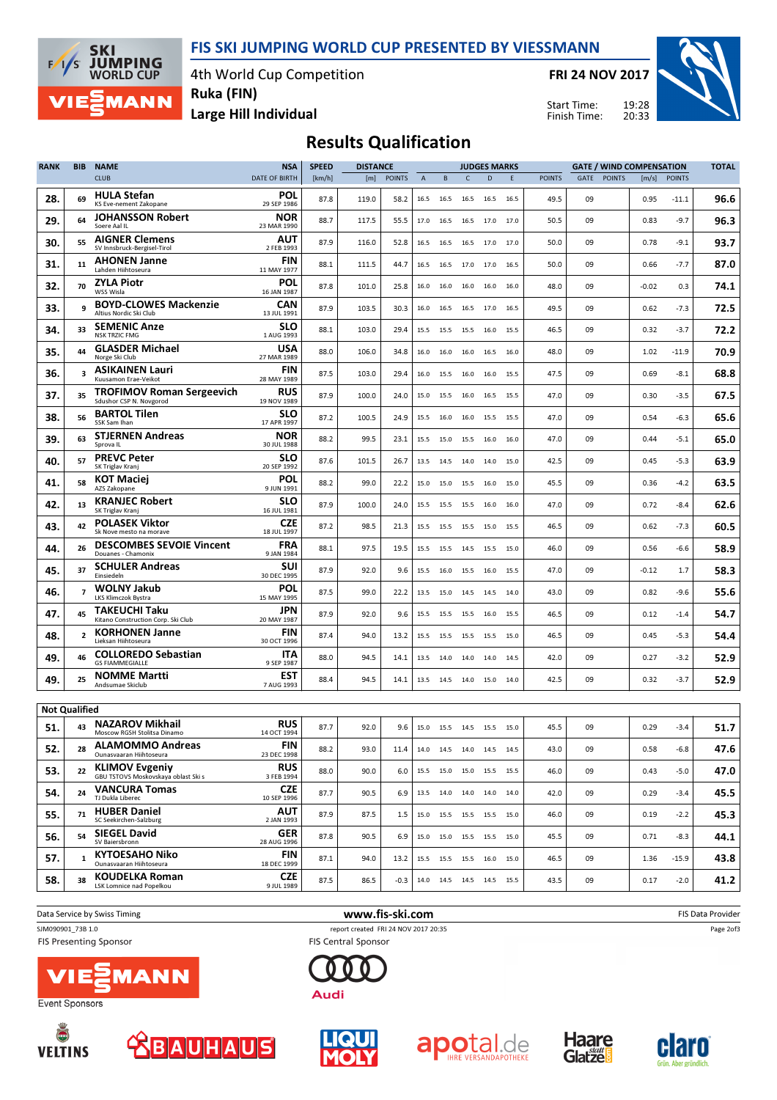FIS SKI JUMPING WORLD CUP PRESENTED BY VIESSMANN

4th World Cup Competition

FRI 24 NOV 2017

Start Time: Finish Time:



Large Hill Individual Ruka (FIN)

**SKI** 

 $F/1/s$ 

**JUMPING**<br>WORLD CUP

**MANN** 

## Results Qualification

| <b>RANK</b>          | <b>BIB</b>     | <b>NAME</b>                                                  | <b>NSA</b>                | <b>SPEED</b> | <b>DISTANCE</b> |               |                |                                  |                | <b>JUDGES MARKS</b> |        |               | <b>GATE / WIND COMPENSATION</b> |               |         | <b>TOTAL</b>  |      |
|----------------------|----------------|--------------------------------------------------------------|---------------------------|--------------|-----------------|---------------|----------------|----------------------------------|----------------|---------------------|--------|---------------|---------------------------------|---------------|---------|---------------|------|
|                      |                | <b>CLUB</b>                                                  | <b>DATE OF BIRTH</b>      | [km/h]       | [m]             | <b>POINTS</b> | $\overline{A}$ | B                                | C              | $\mathsf{D}$        | E      | <b>POINTS</b> | GATE                            | <b>POINTS</b> | [m/s]   | <b>POINTS</b> |      |
| 28.                  | 69             | <b>HULA Stefan</b><br>KS Eve-nement Zakopane                 | POL<br>29 SEP 1986        | 87.8         | 119.0           | 58.2          | 16.5           | 16.5                             | 16.5           | 16.5                | 16.5   | 49.5          | 09                              |               | 0.95    | $-11.1$       | 96.6 |
| 29.                  | 64             | <b>JOHANSSON Robert</b><br>Soere Aal IL                      | <b>NOR</b><br>23 MAR 1990 | 88.7         | 117.5           | 55.5          | 17.0           | 16.5                             | 16.5 17.0      |                     | 17.0   | 50.5          | 09                              |               | 0.83    | $-9.7$        | 96.3 |
| 30.                  | 55             | <b>AIGNER Clemens</b><br>SV Innsbruck-Bergisel-Tirol         | AUT<br>2 FEB 1993         | 87.9         | 116.0           | 52.8          | 16.5           | 16.5                             | 16.5           | 17.0                | 17.0   | 50.0          | 09                              |               | 0.78    | $-9.1$        | 93.7 |
| 31.                  | 11             | <b>AHONEN Janne</b><br>Lahden Hiihtoseura                    | FIN<br>11 MAY 1977        | 88.1         | 111.5           | 44.7          | 16.5           |                                  |                | 16.5 17.0 17.0 16.5 |        | 50.0          | 09                              |               | 0.66    | $-7.7$        | 87.0 |
| 32.                  | 70             | <b>ZYLA Piotr</b><br>WSS Wisla                               | POL<br>16 JAN 1987        | 87.8         | 101.0           | 25.8          | 16.0           | 16.0                             | 16.0           | 16.0                | 16.0   | 48.0          | 09                              |               | $-0.02$ | 0.3           | 74.1 |
| 33.                  | 9              | <b>BOYD-CLOWES Mackenzie</b><br>Altius Nordic Ski Club       | CAN<br>13 JUL 1991        | 87.9         | 103.5           | 30.3          | 16.0           | 16.5                             | 16.5 17.0      |                     | 16.5   | 49.5          | 09                              |               | 0.62    | $-7.3$        | 72.5 |
| 34.                  | 33             | <b>SEMENIC Anze</b><br><b>NSK TRZIC FMG</b>                  | <b>SLO</b><br>1 AUG 1993  | 88.1         | 103.0           | 29.4          | 15.5           | 15.5                             | 15.5           | 16.0                | 15.5   | 46.5          | 09                              |               | 0.32    | $-3.7$        | 72.2 |
| 35.                  | 44             | <b>GLASDER Michael</b><br>Norge Ski Club                     | USA<br>27 MAR 1989        | 88.0         | 106.0           | 34.8          | 16.0           | 16.0                             | 16.0           | 16.5                | 16.0   | 48.0          | 09                              |               | 1.02    | -11.9         | 70.9 |
| 36.                  | 3              | <b>ASIKAINEN Lauri</b><br>Kuusamon Erae-Veikot               | FIN<br>28 MAY 1989        | 87.5         | 103.0           | 29.4          | 16.0           | 15.5                             |                | 16.0 16.0 15.5      |        | 47.5          | 09                              |               | 0.69    | -8.1          | 68.8 |
| 37.                  | 35             | <b>TROFIMOV Roman Sergeevich</b><br>Sdushor CSP N. Novgorod  | <b>RUS</b><br>19 NOV 1989 | 87.9         | 100.0           | 24.0          | 15.0           | 15.5                             | 16.0           | 16.5                | 15.5   | 47.0          | 09                              |               | 0.30    | $-3.5$        | 67.5 |
| 38.                  | 56             | <b>BARTOL Tilen</b><br>SSK Sam Ihan                          | SLO<br>17 APR 1997        | 87.2         | 100.5           | 24.9          | 15.5           | 16.0                             | 16.0 15.5      |                     | 15.5   | 47.0          | 09                              |               | 0.54    | $-6.3$        | 65.6 |
| 39.                  | 63             | <b>STJERNEN Andreas</b><br>Sprova IL                         | <b>NOR</b><br>30 JUL 1988 | 88.2         | 99.5            | 23.1          | 15.5           | 15.0                             | 15.5           | 16.0                | 16.0   | 47.0          | 09                              |               | 0.44    | $-5.1$        | 65.0 |
| 40.                  | 57             | <b>PREVC Peter</b><br>SK Triglav Kranj                       | <b>SLO</b><br>20 SEP 1992 | 87.6         | 101.5           | 26.7          | 13.5           | 14.5 14.0 14.0                   |                |                     | 15.0   | 42.5          | 09                              |               | 0.45    | $-5.3$        | 63.9 |
| 41.                  | 58             | <b>KOT Maciej</b><br>AZS Zakopane                            | <b>POL</b><br>9 JUN 1991  | 88.2         | 99.0            | 22.2          | 15.0           |                                  | 15.0 15.5 16.0 |                     | 15.0   | 45.5          | 09                              |               | 0.36    | $-4.2$        | 63.5 |
| 42.                  | 13             | <b>KRANJEC Robert</b><br>SK Triglav Kranj                    | SLO<br>16 JUL 1981        | 87.9         | 100.0           | 24.0          | 15.5           | 15.5                             | 15.5           | 16.0                | 16.0   | 47.0          | 09                              |               | 0.72    | $-8.4$        | 62.6 |
| 43.                  | 42             | <b>POLASEK Viktor</b><br>Sk Nove mesto na morave             | <b>CZE</b><br>18 JUL 1997 | 87.2         | 98.5            | 21.3          | 15.5           | 15.5                             | 15.5 15.0      |                     | 15.5   | 46.5          | 09                              |               | 0.62    | $-7.3$        | 60.5 |
| 44.                  | 26             | <b>DESCOMBES SEVOIE Vincent</b><br>Douanes - Chamonix        | <b>FRA</b><br>9 JAN 1984  | 88.1         | 97.5            | 19.5          | 15.5           | 15.5                             | 14.5           | 15.5                | 15.0   | 46.0          | 09                              |               | 0.56    | $-6.6$        | 58.9 |
| 45.                  | 37             | <b>SCHULER Andreas</b><br>Einsiedeln                         | SUI<br>30 DEC 1995        | 87.9         | 92.0            | 9.6           | 15.5           |                                  | 16.0 15.5 16.0 |                     | 15.5   | 47.0          | 09                              |               | $-0.12$ | 1.7           | 58.3 |
| 46.                  | $\overline{7}$ | <b>WOLNY Jakub</b><br>LKS Klimczok Bystra                    | POL<br>15 MAY 1995        | 87.5         | 99.0            | 22.2          | 13.5           |                                  | 15.0 14.5 14.5 |                     | 14.0   | 43.0          | 09                              |               | 0.82    | $-9.6$        | 55.6 |
| 47.                  | 45             | <b>TAKEUCHI Taku</b><br>Kitano Construction Corp. Ski Club   | JPN<br>20 MAY 1987        | 87.9         | 92.0            | 9.6           | 15.5           | 15.5                             | 15.5 16.0      |                     | 15.5   | 46.5          | 09                              |               | 0.12    | $-1.4$        | 54.7 |
| 48.                  | $\overline{2}$ | <b>KORHONEN Janne</b><br>Lieksan Hiihtoseura                 | <b>FIN</b><br>30 OCT 1996 | 87.4         | 94.0            | 13.2          | 15.5           |                                  | 15.5 15.5 15.5 |                     | 15.0   | 46.5          | 09                              |               | 0.45    | $-5.3$        | 54.4 |
| 49.                  | 46             | <b>COLLOREDO Sebastian</b><br><b>GS FIAMMEGIALLE</b>         | <b>ITA</b><br>9 SEP 1987  | 88.0         | 94.5            | 14.1          | 13.5           | 14.0                             | 14.0           | 14.0                | - 14.5 | 42.0          | 09                              |               | 0.27    | -3.2          | 52.9 |
| 49.                  | 25             | <b>NOMME Martti</b><br>Andsumae Skiclub                      | <b>EST</b><br>7 AUG 1993  | 88.4         | 94.5            | 14.1          |                | 13.5 14.5 14.0 15.0 14.0         |                |                     |        | 42.5          | 09                              |               | 0.32    | $-3.7$        | 52.9 |
| <b>Not Qualified</b> |                |                                                              |                           |              |                 |               |                |                                  |                |                     |        |               |                                 |               |         |               |      |
| 51.                  | 43             | <b>NAZAROV Mikhail</b><br>Moscow RGSH Stolitsa Dinamo        | <b>RUS</b><br>14 OCT 1994 | 87.7         | 92.0            | 9.6           |                | 15.0   15.5   14.5   15.5   15.0 |                |                     |        | 45.5          | 09                              |               | 0.29    | $-3.4$        | 51.7 |
| 52.                  | 28             | <b>ALAMOMMO Andreas</b><br>Ounasvaaran Hiihtoseura           | <b>FIN</b><br>23 DEC 1998 | 88.2         | 93.0            | 11.4          |                | 14.0  14.5  14.0  14.5  14.5     |                |                     |        | 43.0          | 09                              |               | 0.58    | $-6.8$        | 47.6 |
| 53.                  | 22             | <b>KLIMOV Evgeniy</b><br>GBU TSTOVS Moskovskaya oblast Ski s | <b>RUS</b><br>3 FEB 1994  | 88.0         | 90.0            | 6.0           |                | 15.5 15.0 15.0 15.5 15.5         |                |                     |        | 46.0          | 09                              |               | 0.43    | $-5.0$        | 47.0 |
| 54.                  | 24             | <b>VANCURA Tomas</b><br>TJ Dukla Liberec                     | <b>CZE</b><br>10 SEP 1996 | 87.7         | 90.5            | 6.9           |                | 13.5 14.0 14.0 14.0 14.0         |                |                     |        | 42.0          | 09                              |               | 0.29    | $-3.4$        | 45.5 |
| 55.                  | 71             | <b>HUBER Daniel</b><br>SC Seekirchen-Salzburg                | AUT<br>2 JAN 1993         | 87.9         | 87.5            | 1.5           |                | 15.0   15.5   15.5   15.5   15.0 |                |                     |        | 46.0          | 09                              |               | 0.19    | $-2.2$        | 45.3 |
| 56.                  | 54             | <b>SIEGEL David</b><br>SV Baiersbronn                        | <b>GER</b><br>28 AUG 1996 | 87.8         | 90.5            | 6.9           |                | 15.0 15.0 15.5 15.5 15.0         |                |                     |        | 45.5          | 09                              |               | 0.71    | $-8.3$        | 44.1 |
| 57.                  | $\mathbf{1}$   | <b>KYTOESAHO Niko</b><br>Ounasvaaran Hiihtoseura             | <b>FIN</b><br>18 DEC 1999 | 87.1         | 94.0            | 13.2          |                | 15.5 15.5 15.5 16.0 15.0         |                |                     |        | 46.5          | 09                              |               | 1.36    | $-15.9$       | 43.8 |
| 58.                  | 38             | <b>KOUDELKA Roman</b><br>LSK Lomnice nad Popelkou            | CZE<br>9 JUL 1989         | 87.5         | 86.5            | -0.3          |                | 14.0 14.5 14.5 14.5 15.5         |                |                     |        | 43.5          | 09                              |               | 0.17    | $-2.0$        | 41.2 |
|                      |                |                                                              |                           |              |                 |               |                |                                  |                |                     |        |               |                                 |               |         |               |      |

Data Service by Swiss Timing **EXECUTE:** The Service by Swiss Timing FIS Data Provider SJM090901\_73B 1.0 report created FRI 24 NOV 2017 20:35 **FIS Presenting Sponsor FIS Central Sponsor** 









**Audi** 







Page 2of3